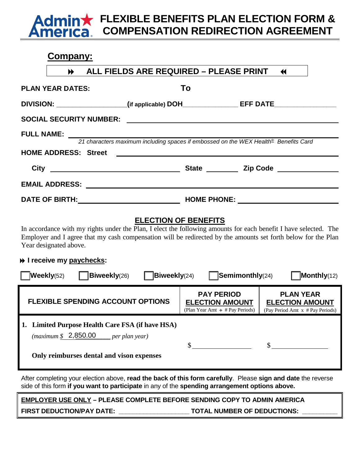## **FLEXIBLE BENEFITS PLAN ELECTION FORM & COMPENSATION REDIRECTION AGREEMENT**

# **Company: ALL FIELDS ARE REQUIRED – PLEASE PRINT PLAN YEAR DATES: To DIVISION:** \_\_\_\_\_\_\_\_\_\_\_\_\_\_\_\_\_\_\_(if applicable) DOH\_\_\_\_\_\_\_\_\_\_\_\_\_\_\_\_\_\_\_\_\_\_\_\_\_\_\_\_\_\_\_\_ **SOCIAL SECURITY NUMBER: FULL NAME:**  *21 characters maximum including spaces if embossed on the WEX Health*® *Benefits Card* **HOME ADDRESS: Street** City **City City City City City City Code Zip Code EMAIL ADDRESS: DATE OF BIRTH: HOME PHONE:**

### **ELECTION OF BENEFITS**

In accordance with my rights under the Plan, I elect the following amounts for each benefit I have selected. The Employer and I agree that my cash compensation will be redirected by the amounts set forth below for the Plan Year designated above.

### **I** receive my paychecks:

| Monthly(12)<br>Weekly(52)<br>Biweekly(26)<br><b>Biweekly(24)</b><br>$\sqrt{\text{Seminonthly}}(24)$                                          |                                                                                     |                                                                                |
|----------------------------------------------------------------------------------------------------------------------------------------------|-------------------------------------------------------------------------------------|--------------------------------------------------------------------------------|
| <b>FLEXIBLE SPENDING ACCOUNT OPTIONS</b>                                                                                                     | <b>PAY PERIOD</b><br><b>ELECTION AMOUNT</b><br>(Plan Year Amt $\div$ # Pay Periods) | <b>PLAN YEAR</b><br><b>ELECTION AMOUNT</b><br>(Pay Period Amt x # Pay Periods) |
| Limited Purpose Health Care FSA (if have HSA)<br>(maximum \$2,850.00]<br><i>per plan year</i> )<br>Only reimburses dental and vison expenses |                                                                                     |                                                                                |

After completing your election above, **read the back of this form carefully**. Please **sign and date** the reverse side of this form **if you want to participate** in any of the **spending arrangement options above.**

**EMPLOYER USE ONLY – PLEASE COMPLETE BEFORE SENDING COPY TO ADMIN AMERICA**

FIRST DEDUCTION/PAY DATE: **which are also assumed to the TOTAL NUMBER OF DEDUCTIONS:**